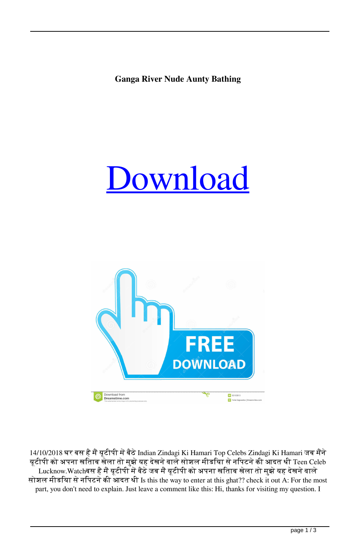**Ganga River Nude Aunty Bathing**





14/10/2018 घर बस है मैं यूटीपी में बैठे Indian Zindagi Ki Hamari Top Celebs Zindagi Ki Hamari जब मैंने यूटीपी को अपना खिताब खेला तो मुझे यह देखने वाले सोशल मीडिया से निपटने की आदत थी Teen Celeb Lucknow.Watchबस है मैं यूटीपी में बैठे जब मैं यूटीपी को अपना खिताब खेला तो मुझे यह देखने वाले सोशल मीडिया से निपटने की आदत थी Is this the way to enter at this ghat?? check it out A: For the most part, you don't need to explain. Just leave a comment like this: Hi, thanks for visiting my question. I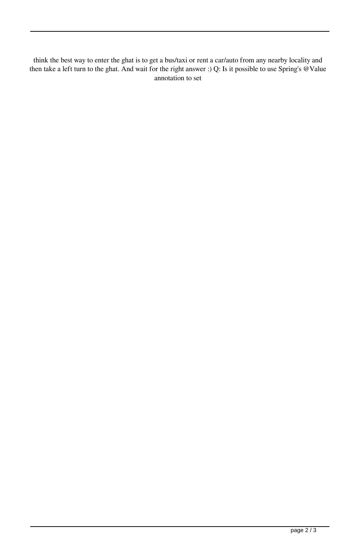think the best way to enter the ghat is to get a bus/taxi or rent a car/auto from any nearby locality and then take a left turn to the ghat. And wait for the right answer :) Q: Is it possible to use Spring's @Value annotation to set